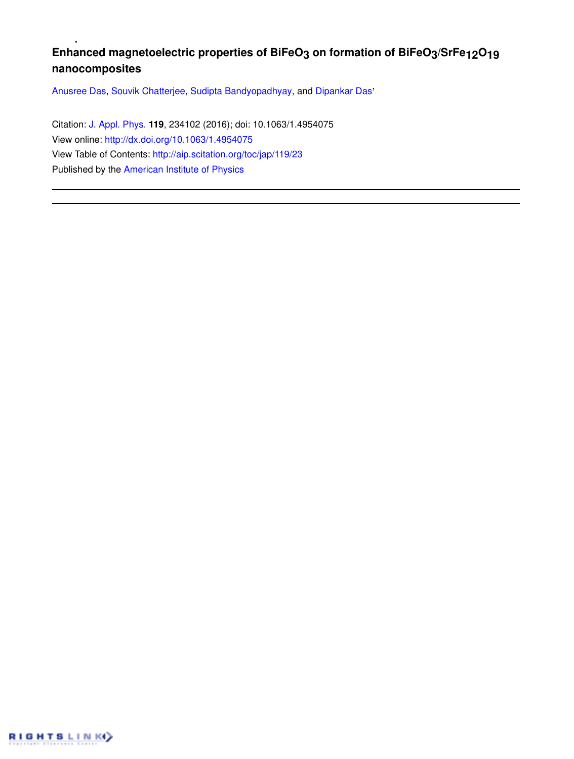# **Enhanced magnetoelectric properties of BiFeO3 on formation of BiFeO3/SrFe12O19 nanocomposites**

Anusree Das, Souvik Chatterjee, Sudipta Bandyopadhyay, and Dipankar Das'

Citation: J. Appl. Phys. **119**, 234102 (2016); doi: 10.1063/1.4954075 View online: http://dx.doi.org/10.1063/1.4954075 View Table of Contents: http://aip.scitation.org/toc/jap/119/23 Published by the American Institute of Physics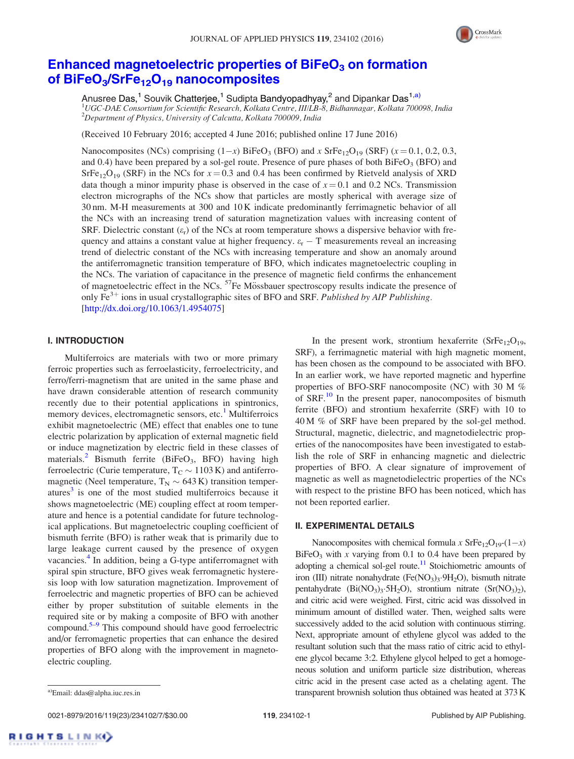

## Enhanced magnetoelectric properties of BiFeO<sub>3</sub> on formation of BiFeO<sub>3</sub>/SrFe<sub>12</sub>O<sub>19</sub> nanocomposites

Anusree Das,<sup>1</sup> Souvik Chatterjee,<sup>1</sup> Sudipta Bandyopadhyay,<sup>2</sup> and Dipankar Das<sup>1,a)</sup> <sup>1</sup>UGC-DAE Consortium for Scientific Research, Kolkata Centre, III/LB-8, Bidhannagar, Kolkata 700098, India  $2$ Department of Physics, University of Calcutta, Kolkata 700009, India

(Received 10 February 2016; accepted 4 June 2016; published online 17 June 2016)

Nanocomposites (NCs) comprising  $(1-x)$  BiFeO<sub>3</sub> (BFO) and x SrFe<sub>12</sub>O<sub>19</sub> (SRF) ( $x = 0.1, 0.2, 0.3$ , and 0.4) have been prepared by a sol-gel route. Presence of pure phases of both  $\text{BiFeO}_3$  (BFO) and  $S$ rFe<sub>12</sub>O<sub>19</sub> (SRF) in the NCs for  $x = 0.3$  and 0.4 has been confirmed by Rietveld analysis of XRD data though a minor impurity phase is observed in the case of  $x = 0.1$  and 0.2 NCs. Transmission electron micrographs of the NCs show that particles are mostly spherical with average size of 30 nm. M-H measurements at 300 and 10 K indicate predominantly ferrimagnetic behavior of all the NCs with an increasing trend of saturation magnetization values with increasing content of SRF. Dielectric constant  $(\varepsilon_r)$  of the NCs at room temperature shows a dispersive behavior with frequency and attains a constant value at higher frequency.  $\varepsilon_r - T$  measurements reveal an increasing trend of dielectric constant of the NCs with increasing temperature and show an anomaly around the antiferromagnetic transition temperature of BFO, which indicates magnetoelectric coupling in the NCs. The variation of capacitance in the presence of magnetic field confirms the enhancement of magnetoelectric effect in the NCs. <sup>57</sup>Fe Mössbauer spectroscopy results indicate the presence of only  $\overline{Fe}^{3+}$  ions in usual crystallographic sites of BFO and SRF. Published by AIP Publishing. [http://dx.doi.org/10.1063/1.4954075]

## I. INTRODUCTION

Multiferroics are materials with two or more primary ferroic properties such as ferroelasticity, ferroelectricity, and ferro/ferri-magnetism that are united in the same phase and have drawn considerable attention of research community recently due to their potential applications in spintronics, memory devices, electromagnetic sensors, etc.<sup>1</sup> Multiferroics exhibit magnetoelectric (ME) effect that enables one to tune electric polarization by application of external magnetic field or induce magnetization by electric field in these classes of materials.<sup>2</sup> Bismuth ferrite (BiFeO<sub>3</sub>, BFO) having high ferroelectric (Curie temperature,  $T_C \sim 1103$  K) and antiferromagnetic (Neel temperature,  $T_N \sim 643$  K) transition temperatures<sup>3</sup> is one of the most studied multiferroics because it shows magnetoelectric (ME) coupling effect at room temperature and hence is a potential candidate for future technological applications. But magnetoelectric coupling coefficient of bismuth ferrite (BFO) is rather weak that is primarily due to large leakage current caused by the presence of oxygen vacancies.<sup>4</sup> In addition, being a G-type antiferromagnet with spiral spin structure, BFO gives weak ferromagnetic hysteresis loop with low saturation magnetization. Improvement of ferroelectric and magnetic properties of BFO can be achieved either by proper substitution of suitable elements in the required site or by making a composite of BFO with another compound.5–9 This compound should have good ferroelectric and/or ferromagnetic properties that can enhance the desired properties of BFO along with the improvement in magnetoelectric coupling.

In the present work, strontium hexaferrite  $(SrFe_{12}O_{19},$ SRF), a ferrimagnetic material with high magnetic moment, has been chosen as the compound to be associated with BFO. In an earlier work, we have reported magnetic and hyperfine properties of BFO-SRF nanocomposite (NC) with 30 M % of SRF.<sup>10</sup> In the present paper, nanocomposites of bismuth ferrite (BFO) and strontium hexaferrite (SRF) with 10 to 40 M % of SRF have been prepared by the sol-gel method. Structural, magnetic, dielectric, and magnetodielectric properties of the nanocomposites have been investigated to establish the role of SRF in enhancing magnetic and dielectric properties of BFO. A clear signature of improvement of magnetic as well as magnetodielectric properties of the NCs with respect to the pristine BFO has been noticed, which has not been reported earlier.

### II. EXPERIMENTAL DETAILS

Nanocomposites with chemical formula x  $\text{SrFe}_{12}\text{O}_{19}$ - $(1-x)$  $BiFeO<sub>3</sub>$  with x varying from 0.1 to 0.4 have been prepared by adopting a chemical sol-gel route. $11$  Stoichiometric amounts of iron (III) nitrate nonahydrate (Fe(NO<sub>3</sub>)<sub>3</sub>.9H<sub>2</sub>O), bismuth nitrate pentahydrate  $(Bi(NO<sub>3</sub>)<sub>3</sub>·5H<sub>2</sub>O)$ , strontium nitrate  $(Sr(NO<sub>3</sub>)<sub>2</sub>)$ , and citric acid were weighed. First, citric acid was dissolved in minimum amount of distilled water. Then, weighed salts were successively added to the acid solution with continuous stirring. Next, appropriate amount of ethylene glycol was added to the resultant solution such that the mass ratio of citric acid to ethylene glycol became 3:2. Ethylene glycol helped to get a homogeneous solution and uniform particle size distribution, whereas citric acid in the present case acted as a chelating agent. The a)Email: ddas@alpha.iuc.res.in transparent brownish solution thus obtained was heated at 373 K

0021-8979/2016/119(23)/234102/7/\$30.00 119, 234102-1 Published by AIP Publishing.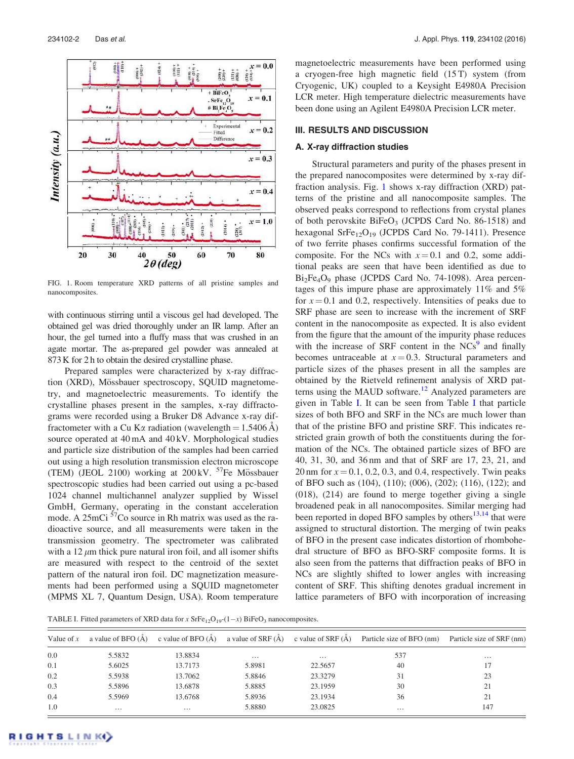

FIG. 1. Room temperature XRD patterns of all pristine samples and nanocomposites.

with continuous stirring until a viscous gel had developed. The obtained gel was dried thoroughly under an IR lamp. After an hour, the gel turned into a fluffy mass that was crushed in an agate mortar. The as-prepared gel powder was annealed at 873 K for 2 h to obtain the desired crystalline phase.

Prepared samples were characterized by x-ray diffraction (XRD), Mössbauer spectroscopy, SQUID magnetometry, and magnetoelectric measurements. To identify the crystalline phases present in the samples, x-ray diffractograms were recorded using a Bruker D8 Advance x-ray diffractometer with a Cu K $\alpha$  radiation (wavelength = 1.5406 Å) source operated at 40 mA and 40 kV. Morphological studies and particle size distribution of the samples had been carried out using a high resolution transmission electron microscope (TEM) (JEOL 2100) working at  $200 \,\mathrm{kV}$ . <sup>57</sup>Fe Mössbauer spectroscopic studies had been carried out using a pc-based 1024 channel multichannel analyzer supplied by Wissel GmbH, Germany, operating in the constant acceleration mode. A  $25 \text{mC}$ i  $57 \text{Co}$  source in Rh matrix was used as the radioactive source, and all measurements were taken in the transmission geometry. The spectrometer was calibrated with a 12  $\mu$ m thick pure natural iron foil, and all isomer shifts are measured with respect to the centroid of the sextet pattern of the natural iron foil. DC magnetization measurements had been performed using a SQUID magnetometer (MPMS XL 7, Quantum Design, USA). Room temperature magnetoelectric measurements have been performed using a cryogen-free high magnetic field (15 T) system (from Cryogenic, UK) coupled to a Keysight E4980A Precision LCR meter. High temperature dielectric measurements have been done using an Agilent E4980A Precision LCR meter.

#### III. RESULTS AND DISCUSSION

#### A. X-ray diffraction studies

Structural parameters and purity of the phases present in the prepared nanocomposites were determined by x-ray diffraction analysis. Fig. 1 shows x-ray diffraction (XRD) patterns of the pristine and all nanocomposite samples. The observed peaks correspond to reflections from crystal planes of both perovskite  $BiFeO<sub>3</sub>$  (JCPDS Card No. 86-1518) and hexagonal SrFe $_{12}O_{19}$  (JCPDS Card No. 79-1411). Presence of two ferrite phases confirms successful formation of the composite. For the NCs with  $x = 0.1$  and 0.2, some additional peaks are seen that have been identified as due to  $Bi<sub>2</sub>Fe<sub>4</sub>O<sub>9</sub>$  phase (JCPDS Card No. 74-1098). Area percentages of this impure phase are approximately 11% and 5% for  $x = 0.1$  and 0.2, respectively. Intensities of peaks due to SRF phase are seen to increase with the increment of SRF content in the nanocomposite as expected. It is also evident from the figure that the amount of the impurity phase reduces with the increase of SRF content in the  $NCS<sup>9</sup>$  and finally becomes untraceable at  $x = 0.3$ . Structural parameters and particle sizes of the phases present in all the samples are obtained by the Rietveld refinement analysis of XRD patterns using the MAUD software.<sup>12</sup> Analyzed parameters are given in Table I. It can be seen from Table I that particle sizes of both BFO and SRF in the NCs are much lower than that of the pristine BFO and pristine SRF. This indicates restricted grain growth of both the constituents during the formation of the NCs. The obtained particle sizes of BFO are 40, 31, 30, and 36 nm and that of SRF are 17, 23, 21, and 20 nm for  $x = 0.1, 0.2, 0.3$ , and 0.4, respectively. Twin peaks of BFO such as (104), (110); (006), (202); (116), (122); and (018), (214) are found to merge together giving a single broadened peak in all nanocomposites. Similar merging had been reported in doped BFO samples by others $13,14$  that were assigned to structural distortion. The merging of twin peaks of BFO in the present case indicates distortion of rhombohedral structure of BFO as BFO-SRF composite forms. It is also seen from the patterns that diffraction peaks of BFO in NCs are slightly shifted to lower angles with increasing content of SRF. This shifting denotes gradual increment in lattice parameters of BFO with incorporation of increasing

TABLE I. Fitted parameters of XRD data for x  $\text{SrFe}_{12}\text{O}_{19}$ - $(1-x)$  BiFeO<sub>3</sub> nanocomposites.

| Value of $x$ | a value of BFO $(A)$ | c value of BFO $(A)$ | a value of $SRF(A)$ c value of $SRF(A)$ |          | Particle size of BFO (nm) | Particle size of SRF (nm) |
|--------------|----------------------|----------------------|-----------------------------------------|----------|---------------------------|---------------------------|
| 0.0          | 5.5832               | 13.8834              | $\cdots$                                | $\cdots$ | 537                       | $\cdots$                  |
| 0.1          | 5.6025               | 13.7173              | 5.8981                                  | 22.5657  | 40                        |                           |
| 0.2          | 5.5938               | 13.7062              | 5.8846                                  | 23.3279  | 31                        | 23                        |
| 0.3          | 5.5896               | 13.6878              | 5.8885                                  | 23.1959  | 30                        | 21                        |
| 0.4          | 5.5969               | 13.6768              | 5.8936                                  | 23.1934  | 36                        | 21                        |
| 1.0          | $\cdots$             | $\cdots$             | 5.8880                                  | 23.0825  | $\cdots$                  | 147                       |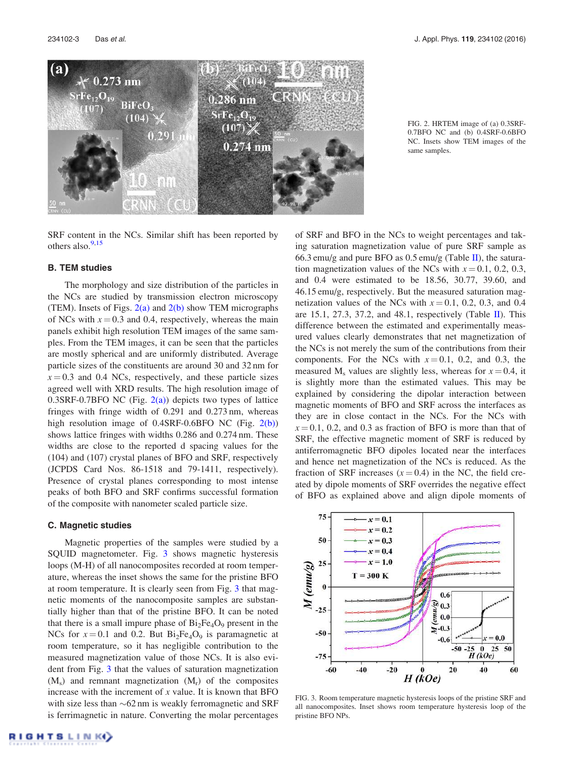

SRF content in the NCs. Similar shift has been reported by others also. $9,15$ 

#### B. TEM studies

The morphology and size distribution of the particles in the NCs are studied by transmission electron microscopy (TEM). Insets of Figs.  $2(a)$  and  $2(b)$  show TEM micrographs of NCs with  $x = 0.3$  and 0.4, respectively, whereas the main panels exhibit high resolution TEM images of the same samples. From the TEM images, it can be seen that the particles are mostly spherical and are uniformly distributed. Average particle sizes of the constituents are around 30 and 32 nm for  $x = 0.3$  and 0.4 NCs, respectively, and these particle sizes agreed well with XRD results. The high resolution image of  $0.3$ SRF-0.7BFO NC (Fig.  $2(a)$ ) depicts two types of lattice fringes with fringe width of 0.291 and 0.273 nm, whereas high resolution image of  $0.4SRF-0.6BFO NC$  (Fig.  $2(b)$ ) shows lattice fringes with widths 0.286 and 0.274 nm. These widths are close to the reported d spacing values for the (104) and (107) crystal planes of BFO and SRF, respectively (JCPDS Card Nos. 86-1518 and 79-1411, respectively). Presence of crystal planes corresponding to most intense peaks of both BFO and SRF confirms successful formation of the composite with nanometer scaled particle size.

#### C. Magnetic studies

Magnetic properties of the samples were studied by a SQUID magnetometer. Fig. 3 shows magnetic hysteresis loops (M-H) of all nanocomposites recorded at room temperature, whereas the inset shows the same for the pristine BFO at room temperature. It is clearly seen from Fig. 3 that magnetic moments of the nanocomposite samples are substantially higher than that of the pristine BFO. It can be noted that there is a small impure phase of  $Bi<sub>2</sub>Fe<sub>4</sub>O<sub>9</sub>$  present in the NCs for  $x = 0.1$  and 0.2. But  $Bi_2Fe_4O_9$  is paramagnetic at room temperature, so it has negligible contribution to the measured magnetization value of those NCs. It is also evident from Fig. 3 that the values of saturation magnetization  $(M<sub>s</sub>)$  and remnant magnetization  $(M<sub>r</sub>)$  of the composites increase with the increment of  $x$  value. It is known that BFO with size less than  $\sim 62$  nm is weakly ferromagnetic and SRF is ferrimagnetic in nature. Converting the molar percentages of SRF and BFO in the NCs to weight percentages and taking saturation magnetization value of pure SRF sample as 66.3 emu/g and pure BFO as  $0.5$  emu/g (Table II), the saturation magnetization values of the NCs with  $x = 0.1, 0.2, 0.3$ , and 0.4 were estimated to be 18.56, 30.77, 39.60, and 46.15 emu/g, respectively. But the measured saturation magnetization values of the NCs with  $x = 0.1$ , 0.2, 0.3, and 0.4 are 15.1, 27.3, 37.2, and 48.1, respectively (Table II). This difference between the estimated and experimentally measured values clearly demonstrates that net magnetization of the NCs is not merely the sum of the contributions from their components. For the NCs with  $x = 0.1$ , 0.2, and 0.3, the measured  $M_s$  values are slightly less, whereas for  $x = 0.4$ , it is slightly more than the estimated values. This may be explained by considering the dipolar interaction between magnetic moments of BFO and SRF across the interfaces as they are in close contact in the NCs. For the NCs with  $x = 0.1$ , 0.2, and 0.3 as fraction of BFO is more than that of SRF, the effective magnetic moment of SRF is reduced by antiferromagnetic BFO dipoles located near the interfaces and hence net magnetization of the NCs is reduced. As the fraction of SRF increases  $(x=0.4)$  in the NC, the field created by dipole moments of SRF overrides the negative effect of BFO as explained above and align dipole moments of



FIG. 3. Room temperature magnetic hysteresis loops of the pristine SRF and all nanocomposites. Inset shows room temperature hysteresis loop of the pristine BFO NPs.

FIG. 2. HRTEM image of (a) 0.3SRF-0.7BFO NC and (b) 0.4SRF-0.6BFO NC. Insets show TEM images of the same samples.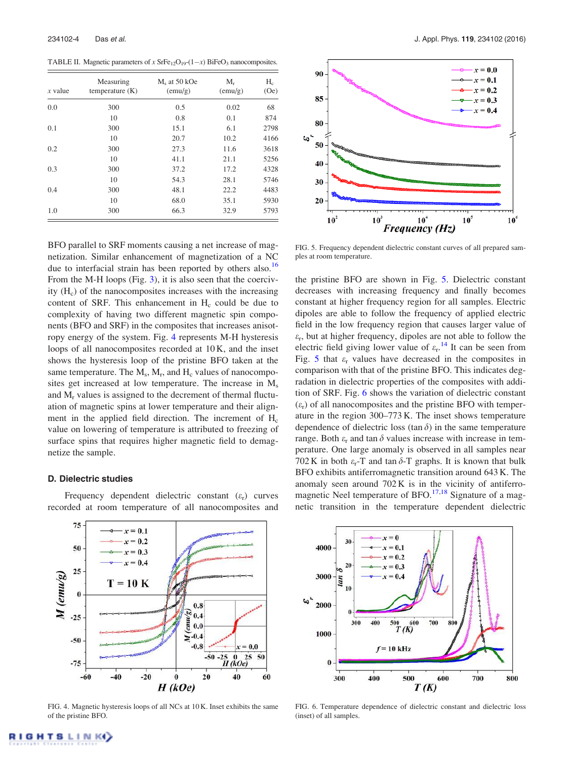TABLE II. Magnetic parameters of x  $\text{SrFe}_{12}\text{O}_{19}$ - $(1-x)$  BiFeO<sub>3</sub> nanocomposites.

| $x$ value | Measuring<br>temperature $(K)$ | $Ms$ at 50 kOe<br>(emu/g) | $M_r$<br>(emu/g) | $H_c$<br>(Oe) |
|-----------|--------------------------------|---------------------------|------------------|---------------|
| 0.0       | 300                            | 0.5                       | 0.02             | 68            |
|           | 10                             | 0.8                       | 0.1              | 874           |
| 0.1       | 300                            | 15.1                      | 6.1              | 2798          |
|           | 10                             | 20.7                      | 10.2             | 4166          |
| 0.2       | 300                            | 27.3                      | 11.6             | 3618          |
|           | 10                             | 41.1                      | 21.1             | 5256          |
| 0.3       | 300                            | 37.2                      | 17.2             | 4328          |
|           | 10                             | 54.3                      | 28.1             | 5746          |
| 0.4       | 300                            | 48.1                      | 22.2             | 4483          |
|           | 10                             | 68.0                      | 35.1             | 5930          |
| 1.0       | 300                            | 66.3                      | 32.9             | 5793          |

BFO parallel to SRF moments causing a net increase of magnetization. Similar enhancement of magnetization of a NC due to interfacial strain has been reported by others also.<sup>16</sup> From the M-H loops (Fig. 3), it is also seen that the coercivity (H<sub>c</sub>) of the nanocomposites increases with the increasing content of SRF. This enhancement in  $H_c$  could be due to complexity of having two different magnetic spin components (BFO and SRF) in the composites that increases anisotropy energy of the system. Fig. 4 represents M-H hysteresis loops of all nanocomposites recorded at 10 K, and the inset shows the hysteresis loop of the pristine BFO taken at the same temperature. The  $M_s$ ,  $M_r$ , and  $H_c$  values of nanocomposites get increased at low temperature. The increase in  $M_s$ and M<sup>r</sup> values is assigned to the decrement of thermal fluctuation of magnetic spins at lower temperature and their alignment in the applied field direction. The increment of  $H_c$ value on lowering of temperature is attributed to freezing of surface spins that requires higher magnetic field to demagnetize the sample.

## D. Dielectric studies

Frequency dependent dielectric constant  $(\varepsilon_r)$  curves recorded at room temperature of all nanocomposites and



FIG. 5. Frequency dependent dielectric constant curves of all prepared samples at room temperature.

Frequency (Hz)

the pristine BFO are shown in Fig. 5. Dielectric constant decreases with increasing frequency and finally becomes constant at higher frequency region for all samples. Electric dipoles are able to follow the frequency of applied electric field in the low frequency region that causes larger value of  $\varepsilon_r$ , but at higher frequency, dipoles are not able to follow the electric field giving lower value of  $\varepsilon_r$ .<sup>14</sup> It can be seen from Fig. 5 that  $\varepsilon_r$  values have decreased in the composites in comparison with that of the pristine BFO. This indicates degradation in dielectric properties of the composites with addition of SRF. Fig. 6 shows the variation of dielectric constant  $(\varepsilon_r)$  of all nanocomposites and the pristine BFO with temperature in the region 300–773 K. The inset shows temperature dependence of dielectric loss (tan  $\delta$ ) in the same temperature range. Both  $\varepsilon_r$  and tan  $\delta$  values increase with increase in temperature. One large anomaly is observed in all samples near 702 K in both  $\varepsilon_r$ -T and tan  $\delta$ -T graphs. It is known that bulk BFO exhibits antiferromagnetic transition around 643 K. The anomaly seen around 702 K is in the vicinity of antiferromagnetic Neel temperature of BFO.<sup>17,18</sup> Signature of a magnetic transition in the temperature dependent dielectric



FIG. 4. Magnetic hysteresis loops of all NCs at 10 K. Inset exhibits the same of the pristine BFO.



FIG. 6. Temperature dependence of dielectric constant and dielectric loss (inset) of all samples.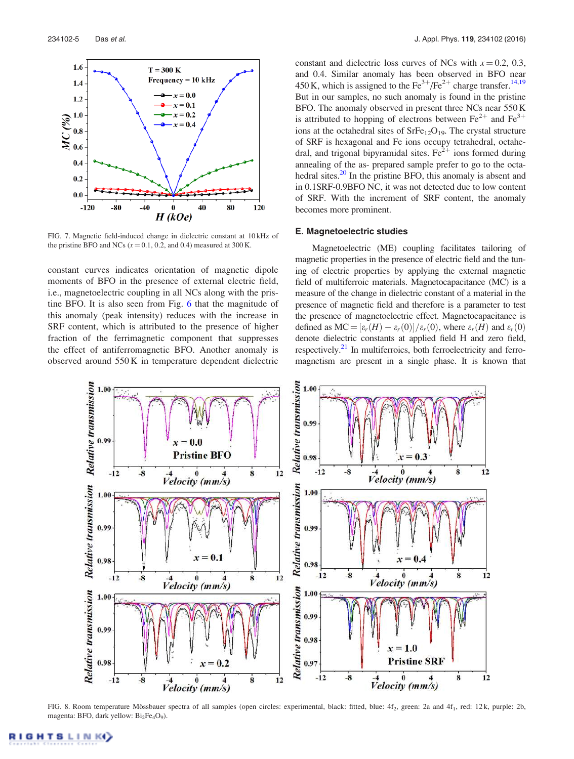

FIG. 7. Magnetic field-induced change in dielectric constant at 10 kHz of the pristine BFO and NCs ( $x = 0.1$ , 0.2, and 0.4) measured at 300 K.

constant curves indicates orientation of magnetic dipole moments of BFO in the presence of external electric field, i.e., magnetoelectric coupling in all NCs along with the pristine BFO. It is also seen from Fig. 6 that the magnitude of this anomaly (peak intensity) reduces with the increase in SRF content, which is attributed to the presence of higher fraction of the ferrimagnetic component that suppresses the effect of antiferromagnetic BFO. Another anomaly is observed around 550 K in temperature dependent dielectric constant and dielectric loss curves of NCs with  $x = 0.2, 0.3$ , and 0.4. Similar anomaly has been observed in BFO near 450 K, which is assigned to the  $\text{Fe}^{3+}/\text{Fe}^{2+}$  charge transfer.<sup>14,19</sup> But in our samples, no such anomaly is found in the pristine BFO. The anomaly observed in present three NCs near 550 K is attributed to hopping of electrons between  $\text{Fe}^{2+}$  and  $\text{Fe}^{3+}$ ions at the octahedral sites of  $\text{SrFe}_{12}\text{O}_{19}$ . The crystal structure of SRF is hexagonal and Fe ions occupy tetrahedral, octahedral, and trigonal bipyramidal sites.  $\text{Fe}^{2+}$  ions formed during annealing of the as- prepared sample prefer to go to the octahedral sites.<sup>20</sup> In the pristine BFO, this anomaly is absent and in 0.1SRF-0.9BFO NC, it was not detected due to low content of SRF. With the increment of SRF content, the anomaly becomes more prominent.

#### E. Magnetoelectric studies

Magnetoelectric (ME) coupling facilitates tailoring of magnetic properties in the presence of electric field and the tuning of electric properties by applying the external magnetic field of multiferroic materials. Magnetocapacitance (MC) is a measure of the change in dielectric constant of a material in the presence of magnetic field and therefore is a parameter to test the presence of magnetoelectric effect. Magnetocapacitance is defined as  $MC = \frac{\varepsilon_r(H) - \varepsilon_r(0)}{\varepsilon_r(0)}$ , where  $\varepsilon_r(H)$  and  $\varepsilon_r(0)$ denote dielectric constants at applied field H and zero field, respectively.<sup>21</sup> In multiferroics, both ferroelectricity and ferromagnetism are present in a single phase. It is known that



FIG. 8. Room temperature Mössbauer spectra of all samples (open circles: experimental, black: fitted, blue: 4f<sub>2</sub>, green: 2a and 4f<sub>1</sub>, red: 12 k, purple: 2b, magenta: BFO, dark yellow: Bi<sub>2</sub>Fe<sub>4</sub>O<sub>9</sub>).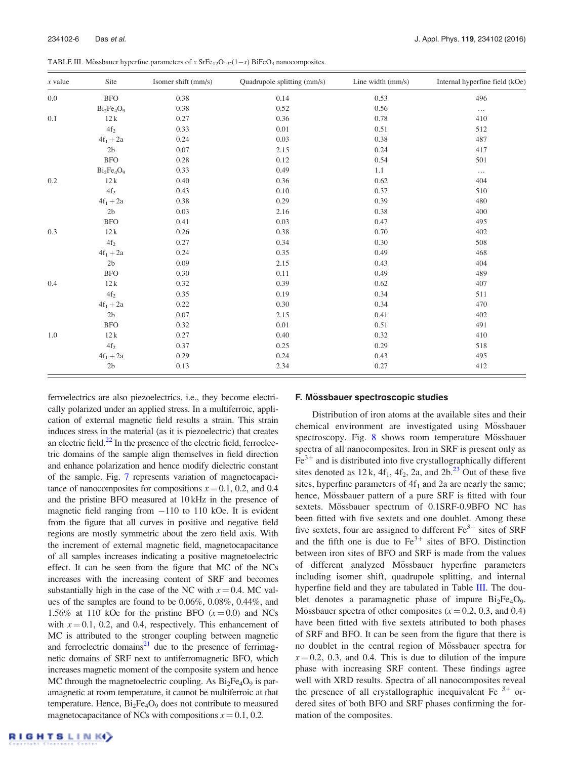| $x$ value | Site                        | Isomer shift (mm/s) | Quadrupole splitting (mm/s) | Line width $(mm/s)$ | Internal hyperfine field (kOe) |
|-----------|-----------------------------|---------------------|-----------------------------|---------------------|--------------------------------|
| 0.0       | <b>BFO</b>                  | 0.38                | 0.14                        | 0.53                | 496                            |
|           | $Bi2Fe4O9$                  | 0.38                | 0.52                        | 0.56                | $\cdots$                       |
| 0.1       | 12k                         | 0.27                | 0.36                        | 0.78                | 410                            |
|           | $4\mathrm{f}_2$             | 0.33                | 0.01                        | 0.51                | 512                            |
|           | $4f_1 + 2a$                 | 0.24                | 0.03                        | 0.38                | 487                            |
|           | 2 <sub>b</sub>              | 0.07                | 2.15                        | 0.24                | 417                            |
|           | <b>BFO</b>                  | 0.28                | 0.12                        | 0.54                | 501                            |
|           | $Bi2Fe4O9$                  | 0.33                | 0.49                        | 1.1                 | $\ldots$                       |
| 0.2       | 12k                         | 0.40                | 0.36                        | 0.62                | 404                            |
|           | $4\mathrm{f}_2$             | 0.43                | 0.10                        | 0.37                | 510                            |
|           | $4f_1 + 2a$                 | 0.38                | 0.29                        | 0.39                | 480                            |
|           | 2 <sub>b</sub>              | 0.03                | 2.16                        | 0.38                | 400                            |
|           | <b>BFO</b>                  | 0.41                | 0.03                        | 0.47                | 495                            |
| 0.3       | 12k                         | 0.26                | 0.38                        | 0.70                | 402                            |
|           | $4\mathrm{f}_2$             | 0.27                | 0.34                        | 0.30                | 508                            |
|           | $4f_1 + 2a$                 | 0.24                | 0.35                        | 0.49                | 468                            |
|           | 2 <sub>b</sub>              | 0.09                | 2.15                        | 0.43                | 404                            |
|           | <b>BFO</b>                  | 0.30                | 0.11                        | 0.49                | 489                            |
| 0.4       | 12k                         | 0.32                | 0.39                        | 0.62                | 407                            |
|           | $4\mathrm{f}_2$             | 0.35                | 0.19                        | 0.34                | 511                            |
|           | $4\mathrm{f}_1+2\mathrm{a}$ | 0.22                | 0.30                        | 0.34                | 470                            |
|           | 2 <sub>b</sub>              | 0.07                | 2.15                        | 0.41                | 402                            |
|           | <b>BFO</b>                  | 0.32                | 0.01                        | 0.51                | 491                            |
| 1.0       | 12k                         | 0.27                | 0.40                        | 0.32                | 410                            |
|           | $4\mathrm{f}_2$             | 0.37                | 0.25                        | 0.29                | 518                            |
|           | $4f_1 + 2a$                 | 0.29                | 0.24                        | 0.43                | 495                            |
|           | 2 <sub>b</sub>              | 0.13                | 2.34                        | 0.27                | 412                            |

ferroelectrics are also piezoelectrics, i.e., they become electrically polarized under an applied stress. In a multiferroic, application of external magnetic field results a strain. This strain induces stress in the material (as it is piezoelectric) that creates an electric field. $^{22}$  In the presence of the electric field, ferroelectric domains of the sample align themselves in field direction and enhance polarization and hence modify dielectric constant of the sample. Fig. 7 represents variation of magnetocapacitance of nanocomposites for compositions  $x = 0.1$ , 0.2, and 0.4 and the pristine BFO measured at 10 kHz in the presence of magnetic field ranging from -110 to 110 kOe. It is evident from the figure that all curves in positive and negative field regions are mostly symmetric about the zero field axis. With the increment of external magnetic field, magnetocapacitance of all samples increases indicating a positive magnetoelectric effect. It can be seen from the figure that MC of the NCs increases with the increasing content of SRF and becomes substantially high in the case of the NC with  $x = 0.4$ . MC values of the samples are found to be 0.06%, 0.08%, 0.44%, and 1.56% at 110 kOe for the pristine BFO  $(x=0.0)$  and NCs with  $x = 0.1$ , 0.2, and 0.4, respectively. This enhancement of MC is attributed to the stronger coupling between magnetic and ferroelectric domains<sup>21</sup> due to the presence of ferrimagnetic domains of SRF next to antiferromagnetic BFO, which increases magnetic moment of the composite system and hence MC through the magnetoelectric coupling. As  $Bi<sub>2</sub>Fe<sub>4</sub>O<sub>9</sub>$  is paramagnetic at room temperature, it cannot be multiferroic at that temperature. Hence,  $Bi<sub>2</sub>Fe<sub>4</sub>O<sub>9</sub>$  does not contribute to measured magnetocapacitance of NCs with compositions  $x = 0.1, 0.2$ .

#### F. Mössbauer spectroscopic studies

Distribution of iron atoms at the available sites and their chemical environment are investigated using Mössbauer spectroscopy. Fig. 8 shows room temperature Mössbauer spectra of all nanocomposites. Iron in SRF is present only as  $Fe<sup>3+</sup>$  and is distributed into five crystallographically different sites denoted as  $12 \text{ k}$ ,  $4 \text{ f}_1$ ,  $4 \text{ f}_2$ ,  $2 \text{ a}$ , and  $2 \text{ b}$ .  $2 \text{ s}$  Out of these five sites, hyperfine parameters of  $4f_1$  and 2a are nearly the same; hence, Mössbauer pattern of a pure SRF is fitted with four sextets. Mössbauer spectrum of 0.1SRF-0.9BFO NC has been fitted with five sextets and one doublet. Among these five sextets, four are assigned to different  $\text{Fe}^{3+}$  sites of SRF and the fifth one is due to  $Fe<sup>3+</sup>$  sites of BFO. Distinction between iron sites of BFO and SRF is made from the values of different analyzed Mössbauer hyperfine parameters including isomer shift, quadrupole splitting, and internal hyperfine field and they are tabulated in Table III. The doublet denotes a paramagnetic phase of impure  $Bi_2Fe_4O_9$ . Mössbauer spectra of other composites ( $x = 0.2, 0.3,$  and 0.4) have been fitted with five sextets attributed to both phases of SRF and BFO. It can be seen from the figure that there is no doublet in the central region of Mössbauer spectra for  $x = 0.2$ , 0.3, and 0.4. This is due to dilution of the impure phase with increasing SRF content. These findings agree well with XRD results. Spectra of all nanocomposites reveal the presence of all crystallographic inequivalent Fe  $3+$  ordered sites of both BFO and SRF phases confirming the formation of the composites.